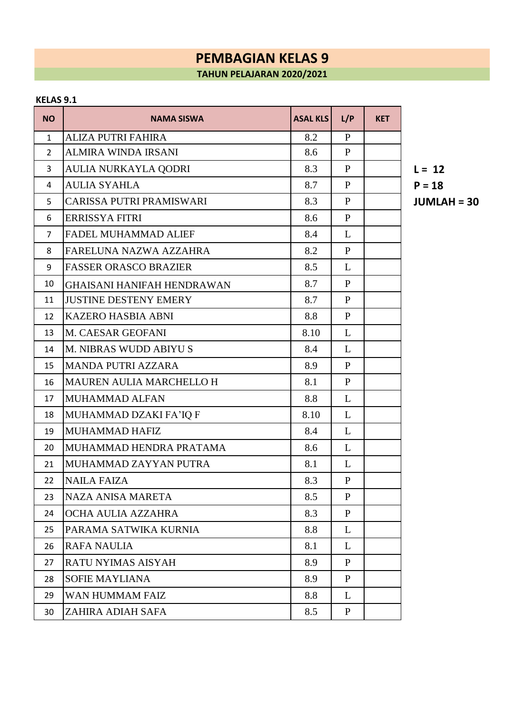### **KELAS 9.1**

| <b>NO</b>      | <b>NAMA SISWA</b>                 | <b>ASAL KLS</b> | L/P          | <b>KET</b> |
|----------------|-----------------------------------|-----------------|--------------|------------|
| $\mathbf{1}$   | <b>ALIZA PUTRI FAHIRA</b>         | 8.2             | $\mathbf{P}$ |            |
| $\overline{2}$ | <b>ALMIRA WINDA IRSANI</b>        | 8.6             | $\mathbf{P}$ |            |
| 3              | AULIA NURKAYLA QODRI              | 8.3             | $\mathbf{P}$ |            |
| 4              | <b>AULIA SYAHLA</b>               | 8.7             | $\mathbf{P}$ |            |
| 5              | CARISSA PUTRI PRAMISWARI          | 8.3             | $\mathbf{P}$ |            |
| 6              | <b>ERRISSYA FITRI</b>             | 8.6             | $\mathbf{P}$ |            |
| 7              | <b>FADEL MUHAMMAD ALIEF</b>       | 8.4             | L            |            |
| 8              | FARELUNA NAZWA AZZAHRA            | 8.2             | $\mathbf{P}$ |            |
| 9              | <b>FASSER ORASCO BRAZIER</b>      | 8.5             | L            |            |
| 10             | <b>GHAISANI HANIFAH HENDRAWAN</b> | 8.7             | $\mathbf{P}$ |            |
| 11             | <b>JUSTINE DESTENY EMERY</b>      | 8.7             | $\mathbf{P}$ |            |
| 12             | <b>KAZERO HASBIA ABNI</b>         | 8.8             | $\mathbf{P}$ |            |
| 13             | M. CAESAR GEOFANI                 | 8.10            | L            |            |
| 14             | M. NIBRAS WUDD ABIYU S            | 8.4             | L            |            |
| 15             | <b>MANDA PUTRI AZZARA</b>         | 8.9             | $\mathbf{P}$ |            |
| 16             | <b>MAUREN AULIA MARCHELLO H</b>   | 8.1             | $\mathbf{P}$ |            |
| 17             | MUHAMMAD ALFAN                    | 8.8             | L            |            |
| 18             | MUHAMMAD DZAKI FA'IQ F            | 8.10            | L            |            |
| 19             | <b>MUHAMMAD HAFIZ</b>             | 8.4             | L            |            |
| 20             | MUHAMMAD HENDRA PRATAMA           | 8.6             | L            |            |
| 21             | MUHAMMAD ZAYYAN PUTRA             | 8.1             | L            |            |
| 22             | <b>NAILA FAIZA</b>                | 8.3             | $\mathbf{P}$ |            |
| 23             | <b>NAZA ANISA MARETA</b>          | 8.5             | P            |            |
| 24             | OCHA AULIA AZZAHRA                | 8.3             | $\mathbf{P}$ |            |
| 25             | PARAMA SATWIKA KURNIA             | 8.8             | L            |            |
| 26             | <b>RAFA NAULIA</b>                | 8.1             | L            |            |
| 27             | RATU NYIMAS AISYAH                | 8.9             | $\mathbf{P}$ |            |
| 28             | <b>SOFIE MAYLIANA</b>             | 8.9             | P            |            |
| 29             | WAN HUMMAM FAIZ                   | 8.8             | L            |            |
| 30             | ZAHIRA ADIAH SAFA                 | 8.5             | $\mathbf{P}$ |            |

CARISSA PUTRI PRAMISWARI 8.3 P **JUMLAH = 30**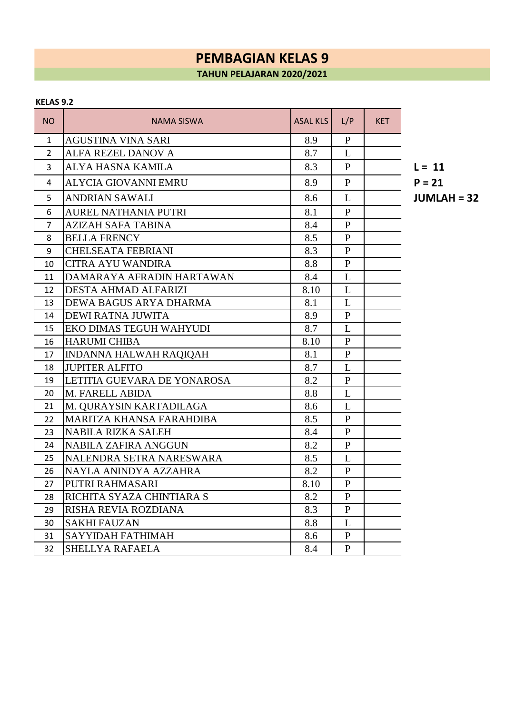#### **KELAS 9.2**

| <b>NO</b>      | <b>NAMA SISWA</b>             | <b>ASAL KLS</b> | L/P          | <b>KET</b> |              |
|----------------|-------------------------------|-----------------|--------------|------------|--------------|
| 1              | <b>AGUSTINA VINA SARI</b>     | 8.9             | $\mathbf{P}$ |            |              |
| $\overline{2}$ | ALFA REZEL DANOV A            | 8.7             | L            |            |              |
| 3              | ALYA HASNA KAMILA             | 8.3             | $\mathbf{P}$ |            | $L = 11$     |
| 4              | <b>ALYCIA GIOVANNI EMRU</b>   | 8.9             | $\mathbf{P}$ |            | $P = 21$     |
| 5              | <b>ANDRIAN SAWALI</b>         | 8.6             | L            |            | <b>JUML/</b> |
| 6              | <b>AUREL NATHANIA PUTRI</b>   | 8.1             | $\mathbf{P}$ |            |              |
| 7              | <b>AZIZAH SAFA TABINA</b>     | 8.4             | $\mathbf{P}$ |            |              |
| 8              | <b>BELLA FRENCY</b>           | 8.5             | P            |            |              |
| 9              | <b>CHELSEATA FEBRIANI</b>     | 8.3             | $\mathbf{P}$ |            |              |
| 10             | <b>CITRA AYU WANDIRA</b>      | 8.8             | $\mathbf{P}$ |            |              |
| 11             | DAMARAYA AFRADIN HARTAWAN     | 8.4             | L            |            |              |
| 12             | <b>DESTA AHMAD ALFARIZI</b>   | 8.10            | L            |            |              |
| 13             | DEWA BAGUS ARYA DHARMA        | 8.1             | L            |            |              |
| 14             | <b>DEWI RATNA JUWITA</b>      | 8.9             | $\mathbf{P}$ |            |              |
| 15             | EKO DIMAS TEGUH WAHYUDI       | 8.7             | L            |            |              |
| 16             | <b>HARUMI CHIBA</b>           | 8.10            | $\mathbf{P}$ |            |              |
| 17             | <b>INDANNA HALWAH RAQIQAH</b> | 8.1             | $\mathbf{P}$ |            |              |
| 18             | <b>JUPITER ALFITO</b>         | 8.7             | L            |            |              |
| 19             | LETITIA GUEVARA DE YONAROSA   | 8.2             | P            |            |              |
| 20             | M. FARELL ABIDA               | 8.8             | L            |            |              |
| 21             | M. QURAYSIN KARTADILAGA       | 8.6             | L            |            |              |
| 22             | MARITZA KHANSA FARAHDIBA      | 8.5             | $\mathbf{P}$ |            |              |
| 23             | <b>NABILA RIZKA SALEH</b>     | 8.4             | $\mathbf{P}$ |            |              |
| 24             | <b>NABILA ZAFIRA ANGGUN</b>   | 8.2             | $\mathbf{P}$ |            |              |
| 25             | NALENDRA SETRA NARESWARA      | 8.5             | L            |            |              |
| 26             | NAYLA ANINDYA AZZAHRA         | 8.2             | $\mathbf{P}$ |            |              |
| 27             | PUTRI RAHMASARI               | 8.10            | $\mathbf{P}$ |            |              |
| 28             | RICHITA SYAZA CHINTIARA S     | 8.2             | $\mathbf{P}$ |            |              |
| 29             | RISHA REVIA ROZDIANA          | 8.3             | $\mathbf{P}$ |            |              |
| 30             | <b>SAKHI FAUZAN</b>           | 8.8             | L            |            |              |
| 31             | SAYYIDAH FATHIMAH             | 8.6             | $\mathbf{P}$ |            |              |
| 32             | <b>SHELLYA RAFAELA</b>        | 8.4             | $\mathbf{P}$ |            |              |

**JUMLAH = 32**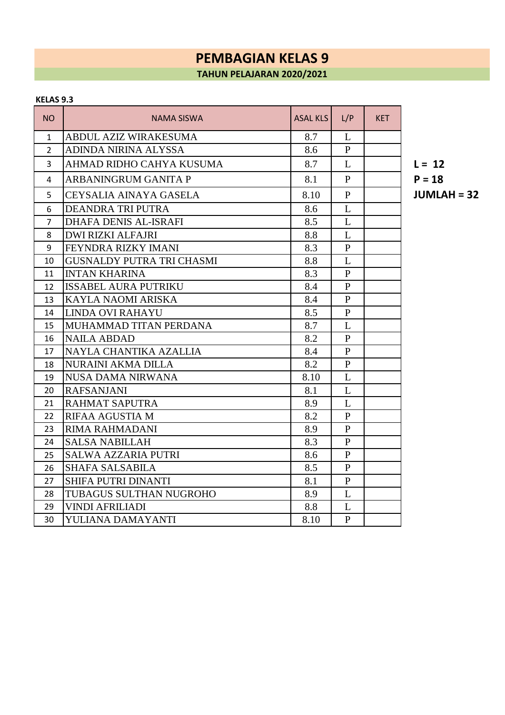#### **KELAS 9.3**

| NO             | <b>NAMA SISWA</b>                | <b>ASAL KLS</b> | L/P            | <b>KET</b> |              |
|----------------|----------------------------------|-----------------|----------------|------------|--------------|
| 1              | <b>ABDUL AZIZ WIRAKESUMA</b>     | 8.7             | L              |            |              |
| $\overline{2}$ | <b>ADINDA NIRINA ALYSSA</b>      | 8.6             | $\mathbf{P}$   |            |              |
| 3              | AHMAD RIDHO CAHYA KUSUMA         | 8.7             | L              |            | $L = 12$     |
| 4              | ARBANINGRUM GANITA P             | 8.1             | $\mathbf{P}$   |            | $P = 18$     |
| 5              | CEYSALIA AINAYA GASELA           | 8.10            | $\mathbf{P}$   |            | <b>JUML/</b> |
| 6              | DEANDRA TRI PUTRA                | 8.6             | L              |            |              |
| 7              | <b>DHAFA DENIS AL-ISRAFI</b>     | 8.5             | L              |            |              |
| 8              | <b>DWI RIZKI ALFAJRI</b>         | 8.8             | L              |            |              |
| 9              | FEYNDRA RIZKY IMANI              | 8.3             | $\mathbf{P}$   |            |              |
| 10             | <b>GUSNALDY PUTRA TRI CHASMI</b> | 8.8             | L              |            |              |
| 11             | <b>INTAN KHARINA</b>             | 8.3             | $\mathbf{P}$   |            |              |
| 12             | <b>ISSABEL AURA PUTRIKU</b>      | 8.4             | $\mathbf{P}$   |            |              |
| 13             | KAYLA NAOMI ARISKA               | 8.4             | $\mathbf{P}$   |            |              |
| 14             | <b>LINDA OVI RAHAYU</b>          | 8.5             | $\mathbf{P}$   |            |              |
| 15             | MUHAMMAD TITAN PERDANA           | 8.7             | L              |            |              |
| 16             | <b>NAILA ABDAD</b>               | 8.2             | $\mathbf{P}$   |            |              |
| 17             | NAYLA CHANTIKA AZALLIA           | 8.4             | $\mathbf{P}$   |            |              |
| 18             | <b>NURAINI AKMA DILLA</b>        | 8.2             | $\mathbf{P}$   |            |              |
| 19             | <b>NUSA DAMA NIRWANA</b>         | 8.10            | L              |            |              |
| 20             | <b>RAFSANJANI</b>                | 8.1             | L              |            |              |
| 21             | RAHMAT SAPUTRA                   | 8.9             | L              |            |              |
| 22             | RIFAA AGUSTIA M                  | 8.2             | $\mathbf{P}$   |            |              |
| 23             | RIMA RAHMADANI                   | 8.9             | $\mathbf{P}$   |            |              |
| 24             | <b>SALSA NABILLAH</b>            | 8.3             | $\mathbf{P}$   |            |              |
| 25             | <b>SALWA AZZARIA PUTRI</b>       | 8.6             | $\mathbf{P}$   |            |              |
| 26             | <b>SHAFA SALSABILA</b>           | 8.5             | $\mathbf{P}$   |            |              |
| 27             | <b>SHIFA PUTRI DINANTI</b>       | 8.1             | $\mathbf{P}$   |            |              |
| 28             | TUBAGUS SULTHAN NUGROHO          | 8.9             | L              |            |              |
| 29             | <b>VINDI AFRILIADI</b>           | 8.8             | L              |            |              |
| 30             | YULIANA DAMAYANTI                | 8.10            | $\overline{P}$ |            |              |

CEYSALIA AINAYA GASELA 8.10 P **JUMLAH = 32**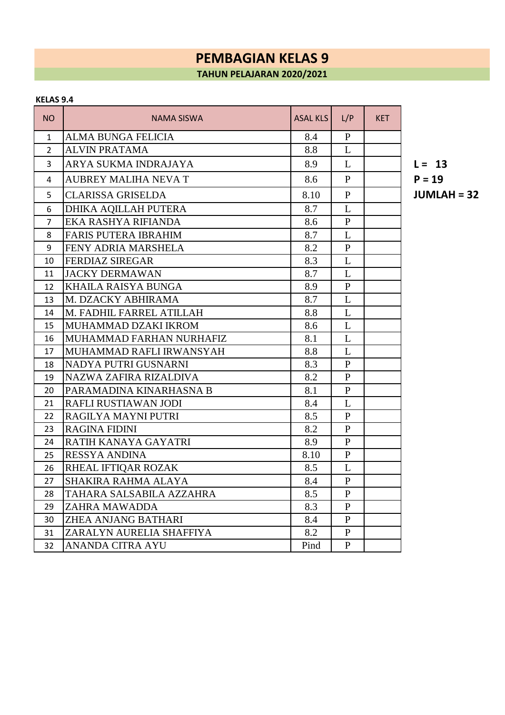#### **KELAS 9.4**

| NO             | NAMA SISWA                  | <b>ASAL KLS</b> | L/P          | <b>KET</b> |              |
|----------------|-----------------------------|-----------------|--------------|------------|--------------|
| $\mathbf{1}$   | <b>ALMA BUNGA FELICIA</b>   | 8.4             | $\mathbf{P}$ |            |              |
| $\overline{2}$ | <b>ALVIN PRATAMA</b>        | 8.8             | L            |            |              |
| 3              | ARYA SUKMA INDRAJAYA        | 8.9             | L            |            | $L = 13$     |
| 4              | <b>AUBREY MALIHA NEVA T</b> | 8.6             | $\mathbf{P}$ |            | $P = 19$     |
| 5              | <b>CLARISSA GRISELDA</b>    | 8.10            | $\mathbf{P}$ |            | <b>JUMLA</b> |
| 6              | DHIKA AQILLAH PUTERA        | 8.7             | L            |            |              |
| 7              | EKA RASHYA RIFIANDA         | 8.6             | $\mathbf{P}$ |            |              |
| 8              | FARIS PUTERA IBRAHIM        | 8.7             | L            |            |              |
| 9              | FENY ADRIA MARSHELA         | 8.2             | $\mathbf{P}$ |            |              |
| 10             | <b>FERDIAZ SIREGAR</b>      | 8.3             | L            |            |              |
| 11             | <b>JACKY DERMAWAN</b>       | 8.7             | L            |            |              |
| 12             | KHAILA RAISYA BUNGA         | 8.9             | $\mathbf{P}$ |            |              |
| 13             | M. DZACKY ABHIRAMA          | 8.7             | L            |            |              |
| 14             | M. FADHIL FARREL ATILLAH    | 8.8             | L            |            |              |
| 15             | MUHAMMAD DZAKI IKROM        | 8.6             | L            |            |              |
| 16             | MUHAMMAD FARHAN NURHAFIZ    | 8.1             | L            |            |              |
| 17             | MUHAMMAD RAFLI IRWANSYAH    | 8.8             | L            |            |              |
| 18             | NADYA PUTRI GUSNARNI        | 8.3             | $\mathbf{P}$ |            |              |
| 19             | NAZWA ZAFIRA RIZALDIVA      | 8.2             | $\mathbf{P}$ |            |              |
| 20             | PARAMADINA KINARHASNA B     | 8.1             | $\mathbf{P}$ |            |              |
| 21             | RAFLI RUSTIAWAN JODI        | 8.4             | L            |            |              |
| 22             | RAGILYA MAYNI PUTRI         | 8.5             | $\mathbf{P}$ |            |              |
| 23             | <b>RAGINA FIDINI</b>        | 8.2             | $\mathbf{P}$ |            |              |
| 24             | RATIH KANAYA GAYATRI        | 8.9             | $\mathbf{P}$ |            |              |
| 25             | <b>RESSYA ANDINA</b>        | 8.10            | $\, {\bf P}$ |            |              |
| 26             | RHEAL IFTIQAR ROZAK         | 8.5             | L            |            |              |
| 27             | <b>SHAKIRA RAHMA ALAYA</b>  | 8.4             | $\mathbf{P}$ |            |              |
| 28             | TAHARA SALSABILA AZZAHRA    | 8.5             | $\mathbf{P}$ |            |              |
| 29             | ZAHRA MAWADDA               | 8.3             | $\mathbf{P}$ |            |              |
| 30             | <b>ZHEA ANJANG BATHARI</b>  | 8.4             | $\mathbf{P}$ |            |              |
| 31             | ZARALYN AURELIA SHAFFIYA    | 8.2             | $\mathbf{P}$ |            |              |
| 32             | <b>ANANDA CITRA AYU</b>     | Pind            | P            |            |              |

CLARISSA GRISELDA 8.10 P **JUMLAH = 32**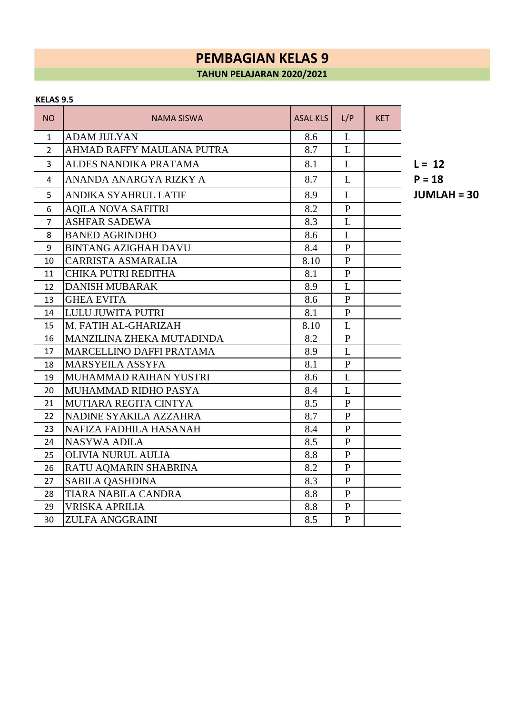#### **KELAS 9.5**

| <b>NO</b>      | <b>NAMA SISWA</b>               | <b>ASAL KLS</b> | L/P            | <b>KET</b> |              |
|----------------|---------------------------------|-----------------|----------------|------------|--------------|
| $\mathbf{1}$   | <b>ADAM JULYAN</b>              | 8.6             | L              |            |              |
| $\overline{2}$ | AHMAD RAFFY MAULANA PUTRA       | 8.7             | L              |            |              |
| 3              | ALDES NANDIKA PRATAMA           | 8.1             | L              |            | $L = 12$     |
| 4              | ANANDA ANARGYA RIZKY A          | 8.7             | L              |            | $P = 18$     |
| 5              | ANDIKA SYAHRUL LATIF            | 8.9             | L              |            | <b>JUML/</b> |
| 6              | <b>AQILA NOVA SAFITRI</b>       | 8.2             | $\mathbf{P}$   |            |              |
| $\overline{7}$ | <b>ASHFAR SADEWA</b>            | 8.3             | L              |            |              |
| 8              | <b>BANED AGRINDHO</b>           | 8.6             | L              |            |              |
| 9              | <b>BINTANG AZIGHAH DAVU</b>     | 8.4             | P              |            |              |
| 10             | CARRISTA ASMARALIA              | 8.10            | $\mathbf{P}$   |            |              |
| 11             | <b>CHIKA PUTRI REDITHA</b>      | 8.1             | $\mathbf{P}$   |            |              |
| 12             | <b>DANISH MUBARAK</b>           | 8.9             | L              |            |              |
| 13             | <b>GHEA EVITA</b>               | 8.6             | $\mathbf{P}$   |            |              |
| 14             | LULU JUWITA PUTRI               | 8.1             | $\mathbf{P}$   |            |              |
| 15             | M. FATIH AL-GHARIZAH            | 8.10            | L              |            |              |
| 16             | MANZILINA ZHEKA MUTADINDA       | 8.2             | $\mathbf{P}$   |            |              |
| 17             | <b>MARCELLINO DAFFI PRATAMA</b> | 8.9             | L              |            |              |
| 18             | MARSYEILA ASSYFA                | 8.1             | $\mathbf{P}$   |            |              |
| 19             | MUHAMMAD RAIHAN YUSTRI          | 8.6             | L              |            |              |
| 20             | MUHAMMAD RIDHO PASYA            | 8.4             | L              |            |              |
| 21             | MUTIARA REGITA CINTYA           | 8.5             | $\mathbf{P}$   |            |              |
| 22             | NADINE SYAKILA AZZAHRA          | 8.7             | $\mathbf{P}$   |            |              |
| 23             | NAFIZA FADHILA HASANAH          | 8.4             | $\mathbf{P}$   |            |              |
| 24             | <b>NASYWA ADILA</b>             | 8.5             | $\mathbf{P}$   |            |              |
| 25             | <b>OLIVIA NURUL AULIA</b>       | 8.8             | $\mathbf{P}$   |            |              |
| 26             | RATU AQMARIN SHABRINA           | 8.2             | $\mathbf{P}$   |            |              |
| 27             | <b>SABILA QASHDINA</b>          | 8.3             | $\mathbf{P}$   |            |              |
| 28             | <b>TIARA NABILA CANDRA</b>      | 8.8             | $\mathbf{P}$   |            |              |
| 29             | VRISKA APRILIA                  | 8.8             | $\mathbf{P}$   |            |              |
| 30             | <b>ZULFA ANGGRAINI</b>          | 8.5             | $\overline{P}$ |            |              |

ANDIKA SYAHRUL LATIF 8.9 L **JUMLAH = 30**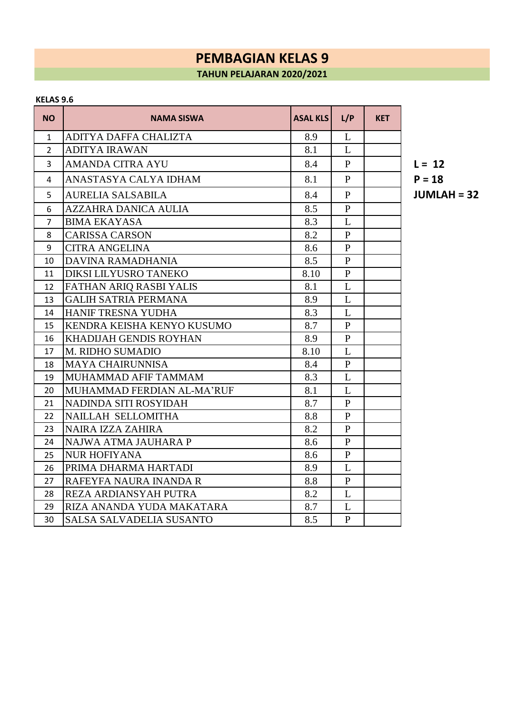### **KELAS 9.6**

| <b>NO</b>      | <b>NAMA SISWA</b>               | <b>ASAL KLS</b> | L/P          | <b>KET</b> |              |
|----------------|---------------------------------|-----------------|--------------|------------|--------------|
| 1              | ADITYA DAFFA CHALIZTA           | 8.9             | L            |            |              |
| $\overline{2}$ | <b>ADITYA IRAWAN</b>            | 8.1             | L            |            |              |
| 3              | AMANDA CITRA AYU                | 8.4             | $\mathbf{P}$ |            | $L = 12$     |
| 4              | ANASTASYA CALYA IDHAM           | 8.1             | P            |            | $P = 18$     |
| 5              | <b>AURELIA SALSABILA</b>        | 8.4             | $\mathbf{P}$ |            | <b>JUML/</b> |
| 6              | AZZAHRA DANICA AULIA            | 8.5             | $\mathbf{P}$ |            |              |
| $\overline{7}$ | <b>BIMA EKAYASA</b>             | 8.3             | L            |            |              |
| 8              | <b>CARISSA CARSON</b>           | 8.2             | $\mathbf{P}$ |            |              |
| 9              | <b>CITRA ANGELINA</b>           | 8.6             | $\mathbf{P}$ |            |              |
| 10             | DAVINA RAMADHANIA               | 8.5             | $\mathbf{P}$ |            |              |
| 11             | DIKSI LILYUSRO TANEKO           | 8.10            | $\mathbf{P}$ |            |              |
| 12             | FATHAN ARIQ RASBI YALIS         | 8.1             | L            |            |              |
| 13             | <b>GALIH SATRIA PERMANA</b>     | 8.9             | L            |            |              |
| 14             | <b>HANIF TRESNA YUDHA</b>       | 8.3             | L            |            |              |
| 15             | KENDRA KEISHA KENYO KUSUMO      | 8.7             | $\mathbf{P}$ |            |              |
| 16             | KHADIJAH GENDIS ROYHAN          | 8.9             | $\mathbf{P}$ |            |              |
| 17             | M. RIDHO SUMADIO                | 8.10            | L            |            |              |
| 18             | <b>MAYA CHAIRUNNISA</b>         | 8.4             | $\mathbf{P}$ |            |              |
| 19             | MUHAMMAD AFIF TAMMAM            | 8.3             | L            |            |              |
| 20             | MUHAMMAD FERDIAN AL-MA'RUF      | 8.1             | L            |            |              |
| 21             | NADINDA SITI ROSYIDAH           | 8.7             | $\mathbf{P}$ |            |              |
| 22             | NAILLAH SELLOMITHA              | 8.8             | $\mathbf{P}$ |            |              |
| 23             | <b>NAIRA IZZA ZAHIRA</b>        | 8.2             | $\mathbf{P}$ |            |              |
| 24             | NAJWA ATMA JAUHARA P            | 8.6             | $\mathbf{P}$ |            |              |
| 25             | <b>NUR HOFIYANA</b>             | 8.6             | $\mathbf{P}$ |            |              |
| 26             | PRIMA DHARMA HARTADI            | 8.9             | L            |            |              |
| 27             | RAFEYFA NAURA INANDA R          | 8.8             | $\mathbf{P}$ |            |              |
| 28             | REZA ARDIANSYAH PUTRA           | 8.2             | L            |            |              |
| 29             | RIZA ANANDA YUDA MAKATARA       | 8.7             | L            |            |              |
| 30             | <b>SALSA SALVADELIA SUSANTO</b> | 8.5             | $\mathbf{P}$ |            |              |

AURELIA SALSABILA 8.4 P **JUMLAH = 32**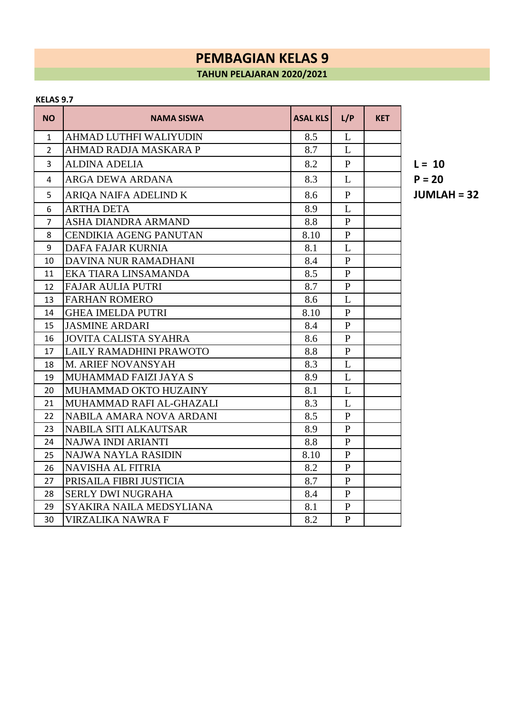### **KELAS 9.7**

| <b>NO</b>      | <b>NAMA SISWA</b>             | <b>ASAL KLS</b> | L/P          | <b>KET</b> |              |
|----------------|-------------------------------|-----------------|--------------|------------|--------------|
| 1              | AHMAD LUTHFI WALIYUDIN        | 8.5             | L            |            |              |
| $\overline{2}$ | AHMAD RADJA MASKARA P         | 8.7             | L            |            |              |
| 3              | <b>ALDINA ADELIA</b>          | 8.2             | $\mathbf{P}$ |            | $L = 10$     |
| 4              | ARGA DEWA ARDANA              | 8.3             | L            |            | $P = 20$     |
| 5              | ARIQA NAIFA ADELIND K         | 8.6             | $\mathbf{P}$ |            | <b>JUML/</b> |
| 6              | <b>ARTHA DETA</b>             | 8.9             | L            |            |              |
| $\overline{7}$ | ASHA DIANDRA ARMAND           | 8.8             | $\mathbf{P}$ |            |              |
| 8              | <b>CENDIKIA AGENG PANUTAN</b> | 8.10            | $\mathbf{P}$ |            |              |
| 9              | DAFA FAJAR KURNIA             | 8.1             | L            |            |              |
| 10             | DAVINA NUR RAMADHANI          | 8.4             | $\mathbf{P}$ |            |              |
| 11             | EKA TIARA LINSAMANDA          | 8.5             | $\mathbf{P}$ |            |              |
| 12             | <b>FAJAR AULIA PUTRI</b>      | 8.7             | $\mathbf{P}$ |            |              |
| 13             | <b>FARHAN ROMERO</b>          | 8.6             | L            |            |              |
| 14             | <b>GHEA IMELDA PUTRI</b>      | 8.10            | $\mathbf{P}$ |            |              |
| 15             | <b>JASMINE ARDARI</b>         | 8.4             | $\mathbf{P}$ |            |              |
| 16             | <b>JOVITA CALISTA SYAHRA</b>  | 8.6             | $\mathbf{P}$ |            |              |
| 17             | LAILY RAMADHINI PRAWOTO       | 8.8             | $\mathbf{P}$ |            |              |
| 18             | M. ARIEF NOVANSYAH            | 8.3             | L            |            |              |
| 19             | MUHAMMAD FAIZI JAYA S         | 8.9             | L            |            |              |
| 20             | MUHAMMAD OKTO HUZAINY         | 8.1             | L            |            |              |
| 21             | MUHAMMAD RAFI AL-GHAZALI      | 8.3             | L            |            |              |
| 22             | NABILA AMARA NOVA ARDANI      | 8.5             | $\mathbf{P}$ |            |              |
| 23             | <b>NABILA SITI ALKAUTSAR</b>  | 8.9             | $\mathbf{P}$ |            |              |
| 24             | NAJWA INDI ARIANTI            | 8.8             | $\mathbf{P}$ |            |              |
| 25             | NAJWA NAYLA RASIDIN           | 8.10            | $\mathbf{P}$ |            |              |
| 26             | <b>NAVISHA AL FITRIA</b>      | 8.2             | $\mathbf{P}$ |            |              |
| 27             | PRISAILA FIBRI JUSTICIA       | 8.7             | $\mathbf{P}$ |            |              |
| 28             | <b>SERLY DWI NUGRAHA</b>      | 8.4             | $\mathbf{P}$ |            |              |
| 29             | SYAKIRA NAILA MEDSYLIANA      | 8.1             | $\mathbf{P}$ |            |              |
| 30             | <b>VIRZALIKA NAWRA F</b>      | 8.2             | $\mathbf{P}$ |            |              |

**JUMLAH = 32**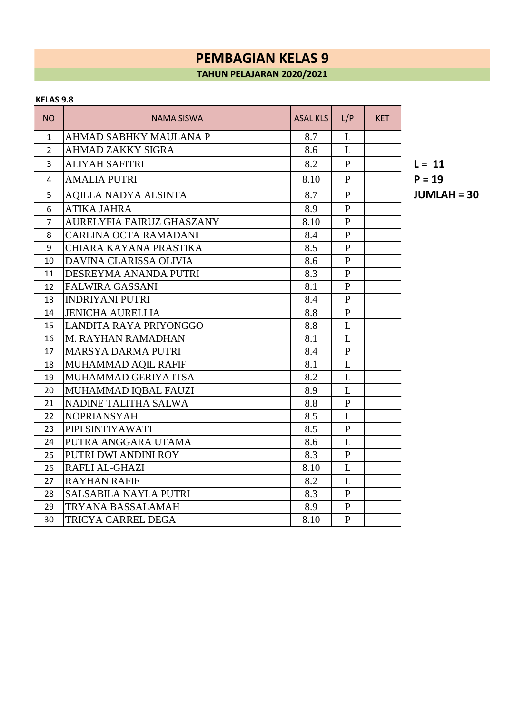#### **KELAS 9.8**

| NO.            | <b>NAMA SISWA</b>           | <b>ASAL KLS</b> | L/P          | <b>KET</b> |              |
|----------------|-----------------------------|-----------------|--------------|------------|--------------|
| 1              | AHMAD SABHKY MAULANA P      | 8.7             | L            |            |              |
| $\overline{2}$ | <b>AHMAD ZAKKY SIGRA</b>    | 8.6             | L            |            |              |
| 3              | ALIYAH SAFITRI              | 8.2             | $\mathbf{P}$ |            | $L = 11$     |
| 4              | <b>AMALIA PUTRI</b>         | 8.10            | $\mathbf{P}$ |            | $P = 19$     |
| 5              | <b>AQILLA NADYA ALSINTA</b> | 8.7             | $\mathbf{P}$ |            | <b>JUML/</b> |
| 6              | <b>ATIKA JAHRA</b>          | 8.9             | $\mathbf{P}$ |            |              |
| $\overline{7}$ | AURELYFIA FAIRUZ GHASZANY   | 8.10            | $\mathbf{P}$ |            |              |
| 8              | CARLINA OCTA RAMADANI       | 8.4             | $\mathbf{P}$ |            |              |
| 9              | CHIARA KAYANA PRASTIKA      | 8.5             | $\mathbf{P}$ |            |              |
| 10             | DAVINA CLARISSA OLIVIA      | 8.6             | $\mathbf{P}$ |            |              |
| 11             | DESREYMA ANANDA PUTRI       | 8.3             | $\mathbf{P}$ |            |              |
| 12             | <b>FALWIRA GASSANI</b>      | 8.1             | $\mathbf{P}$ |            |              |
| 13             | <b>INDRIYANI PUTRI</b>      | 8.4             | $\mathbf{P}$ |            |              |
| 14             | <b>JENICHA AURELLIA</b>     | 8.8             | $\mathbf{P}$ |            |              |
| 15             | LANDITA RAYA PRIYONGGO      | 8.8             | L            |            |              |
| 16             | M. RAYHAN RAMADHAN          | 8.1             | L            |            |              |
| 17             | <b>MARSYA DARMA PUTRI</b>   | 8.4             | $\mathbf{P}$ |            |              |
| 18             | MUHAMMAD AQIL RAFIF         | 8.1             | L            |            |              |
| 19             | MUHAMMAD GERIYA ITSA        | 8.2             | L            |            |              |
| 20             | MUHAMMAD IQBAL FAUZI        | 8.9             | L            |            |              |
| 21             | NADINE TALITHA SALWA        | 8.8             | $\mathbf{P}$ |            |              |
| 22             | <b>NOPRIANSYAH</b>          | 8.5             | L            |            |              |
| 23             | PIPI SINTIYAWATI            | 8.5             | $\mathbf{P}$ |            |              |
| 24             | PUTRA ANGGARA UTAMA         | 8.6             | L            |            |              |
| 25             | PUTRI DWI ANDINI ROY        | 8.3             | $\mathbf{P}$ |            |              |
| 26             | RAFLI AL-GHAZI              | 8.10            | L            |            |              |
| 27             | <b>RAYHAN RAFIF</b>         | 8.2             | L            |            |              |
| 28             | SALSABILA NAYLA PUTRI       | 8.3             | $\mathbf{P}$ |            |              |
| 29             | TRYANA BASSALAMAH           | 8.9             | $\mathbf{P}$ |            |              |
| 30             | TRICYA CARREL DEGA          | 8.10            | $\mathbf{P}$ |            |              |

AQILLA NADYA ALSINTA 8.7 P **JUMLAH = 30**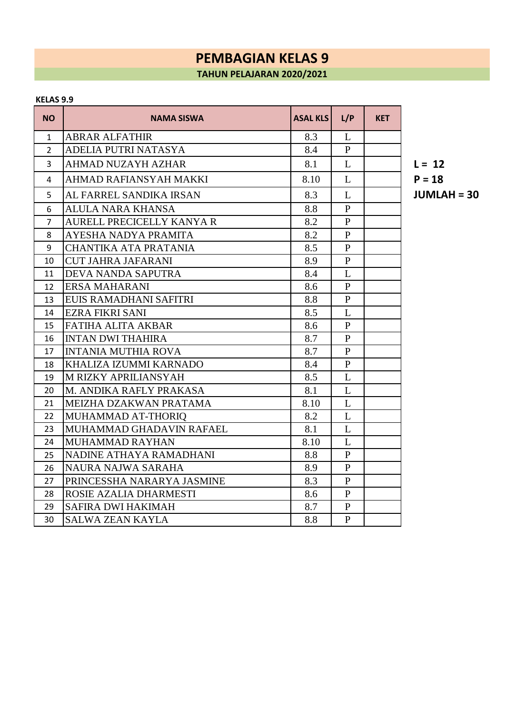#### **KELAS 9.9**

| <b>NO</b>      | <b>NAMA SISWA</b>            | <b>ASAL KLS</b> | L/P            | <b>KET</b> |              |
|----------------|------------------------------|-----------------|----------------|------------|--------------|
| $\mathbf{1}$   | <b>ABRAR ALFATHIR</b>        | 8.3             | L              |            |              |
| $\overline{2}$ | ADELIA PUTRI NATASYA         | 8.4             | $\mathbf{P}$   |            |              |
| $\overline{3}$ | <b>AHMAD NUZAYH AZHAR</b>    | 8.1             | L              |            | $L = 12$     |
| 4              | AHMAD RAFIANSYAH MAKKI       | 8.10            | L              |            | $P = 18$     |
| 5              | AL FARREL SANDIKA IRSAN      | 8.3             | L              |            | <b>JUML/</b> |
| 6              | <b>ALULA NARA KHANSA</b>     | 8.8             | $\mathbf{P}$   |            |              |
| $\overline{7}$ | AURELL PRECICELLY KANYA R    | 8.2             | $\mathbf{P}$   |            |              |
| 8              | AYESHA NADYA PRAMITA         | 8.2             | $\mathbf{P}$   |            |              |
| 9              | <b>CHANTIKA ATA PRATANIA</b> | 8.5             | $\mathbf{P}$   |            |              |
| 10             | <b>CUT JAHRA JAFARANI</b>    | 8.9             | $\mathbf{P}$   |            |              |
| 11             | DEVA NANDA SAPUTRA           | 8.4             | L              |            |              |
| 12             | <b>ERSA MAHARANI</b>         | 8.6             | $\mathbf{P}$   |            |              |
| 13             | EUIS RAMADHANI SAFITRI       | 8.8             | $\mathbf{P}$   |            |              |
| 14             | <b>EZRA FIKRI SANI</b>       | 8.5             | L              |            |              |
| 15             | <b>FATIHA ALITA AKBAR</b>    | 8.6             | $\mathbf{P}$   |            |              |
| 16             | <b>INTAN DWI THAHIRA</b>     | 8.7             | $\mathbf{P}$   |            |              |
| 17             | <b>INTANIA MUTHIA ROVA</b>   | 8.7             | $\mathbf{P}$   |            |              |
| 18             | KHALIZA IZUMMI KARNADO       | 8.4             | $\mathbf{P}$   |            |              |
| 19             | <b>M RIZKY APRILIANSYAH</b>  | 8.5             | L              |            |              |
| 20             | M. ANDIKA RAFLY PRAKASA      | 8.1             | L              |            |              |
| 21             | MEIZHA DZAKWAN PRATAMA       | 8.10            | L              |            |              |
| 22             | MUHAMMAD AT-THORIQ           | 8.2             | L              |            |              |
| 23             | MUHAMMAD GHADAVIN RAFAEL     | 8.1             | L              |            |              |
| 24             | <b>MUHAMMAD RAYHAN</b>       | 8.10            | L              |            |              |
| 25             | NADINE ATHAYA RAMADHANI      | 8.8             | $\mathbf{P}$   |            |              |
| 26             | NAURA NAJWA SARAHA           | 8.9             | $\mathbf{P}$   |            |              |
| 27             | PRINCESSHA NARARYA JASMINE   | 8.3             | $\mathbf{P}$   |            |              |
| 28             | ROSIE AZALIA DHARMESTI       | 8.6             | $\mathbf{P}$   |            |              |
| 29             | <b>SAFIRA DWI HAKIMAH</b>    | 8.7             | $\mathbf{P}$   |            |              |
| 30             | <b>SALWA ZEAN KAYLA</b>      | 8.8             | $\overline{P}$ |            |              |

AL FARREL SANDIKA IRSAN 8.3 L **JUMLAH = 30**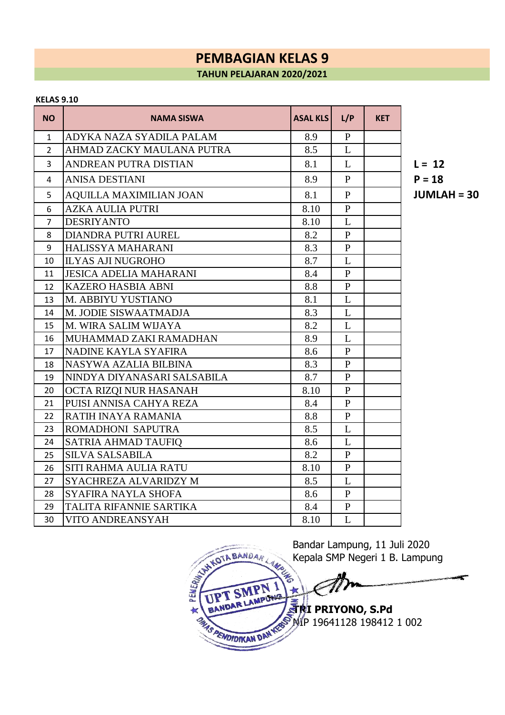#### **KELAS 9.10**

| <b>NO</b>      | NAMA SISWA                    | <b>ASAL KLS</b> | L/P          | <b>KET</b> |              |
|----------------|-------------------------------|-----------------|--------------|------------|--------------|
| $\mathbf{1}$   | ADYKA NAZA SYADILA PALAM      | 8.9             | $\mathbf{P}$ |            |              |
| $\overline{2}$ | AHMAD ZACKY MAULANA PUTRA     | 8.5             | L            |            |              |
| 3              | ANDREAN PUTRA DISTIAN         | 8.1             | L            |            | $L = 12$     |
| 4              | ANISA DESTIANI                | 8.9             | $\mathbf{P}$ |            | $P = 18$     |
| 5              | AQUILLA MAXIMILIAN JOAN       | 8.1             | $\mathbf{P}$ |            | <b>JUML/</b> |
| 6              | <b>AZKA AULIA PUTRI</b>       | 8.10            | $\mathbf{P}$ |            |              |
| $\overline{7}$ | <b>DESRIYANTO</b>             | 8.10            | L            |            |              |
| 8              | <b>DIANDRA PUTRI AUREL</b>    | 8.2             | $\mathbf{P}$ |            |              |
| 9              | HALISSYA MAHARANI             | 8.3             | $\mathbf{P}$ |            |              |
| 10             | <b>ILYAS AJI NUGROHO</b>      | 8.7             | L            |            |              |
| 11             | <b>JESICA ADELIA MAHARANI</b> | 8.4             | $\mathbf{P}$ |            |              |
| 12             | <b>KAZERO HASBIA ABNI</b>     | 8.8             | $\mathbf{P}$ |            |              |
| 13             | M. ABBIYU YUSTIANO            | 8.1             | L            |            |              |
| 14             | M. JODIE SISWAATMADJA         | 8.3             | L            |            |              |
| 15             | M. WIRA SALIM WIJAYA          | 8.2             | L            |            |              |
| 16             | MUHAMMAD ZAKI RAMADHAN        | 8.9             | L            |            |              |
| 17             | NADINE KAYLA SYAFIRA          | 8.6             | $\mathbf{P}$ |            |              |
| 18             | NASYWA AZALIA BILBINA         | 8.3             | $\mathbf{P}$ |            |              |
| 19             | NINDYA DIYANASARI SALSABILA   | 8.7             | $\mathbf{P}$ |            |              |
| 20             | OCTA RIZQI NUR HASANAH        | 8.10            | $\mathbf{P}$ |            |              |
| 21             | PUISI ANNISA CAHYA REZA       | 8.4             | $\mathbf{P}$ |            |              |
| 22             | RATIH INAYA RAMANIA           | 8.8             | $\mathbf{P}$ |            |              |
| 23             | <b>ROMADHONI SAPUTRA</b>      | 8.5             | L            |            |              |
| 24             | SATRIA AHMAD TAUFIQ           | 8.6             | L            |            |              |
| 25             | <b>SILVA SALSABILA</b>        | 8.2             | $\mathbf{P}$ |            |              |
| 26             | <b>SITI RAHMA AULIA RATU</b>  | 8.10            | $\mathbf{P}$ |            |              |
| 27             | SYACHREZA ALVARIDZY M         | 8.5             | L            |            |              |
| 28             | SYAFIRA NAYLA SHOFA           | 8.6             | $\mathbf{P}$ |            |              |
| 29             | TALITA RIFANNIE SARTIKA       | 8.4             | $\mathbf{P}$ |            |              |
| 30             | VITO ANDREANSYAH              | 8.10            | L            |            |              |

AQUILLA MAXIMILIAN JOAN 8.1 P **JUMLAH = 30**